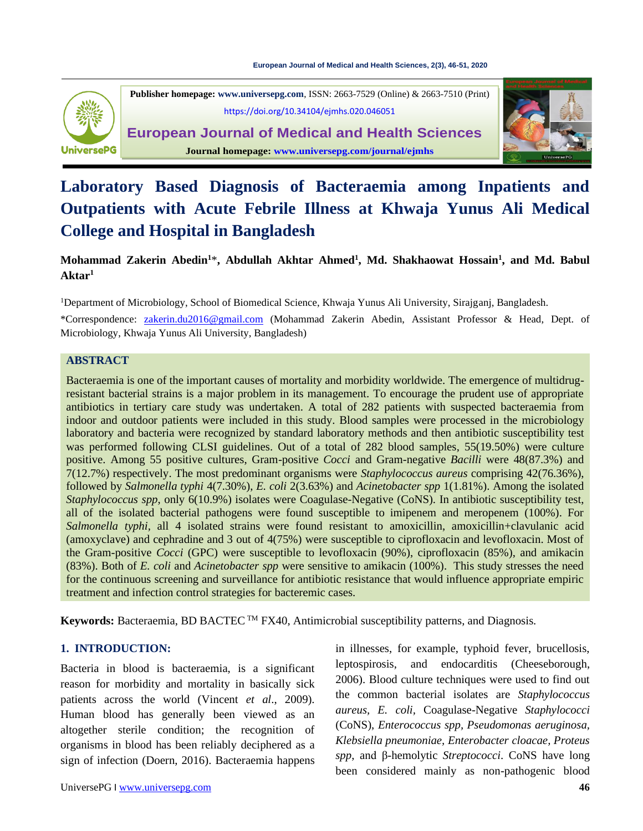

**Publisher homepage: [www.universepg.com](http://www.universepg.com/)**, ISSN: 2663-7529 (Online) & 2663-7510 (Print) <https://doi.org/10.34104/ejmhs.020.046051>

**European Journal of Medical and Health Sciences Journal homepage: [www.universepg.com/journal/ejmhs](http://www.universepg.com/journal/ejmhs)**



# **Laboratory Based Diagnosis of Bacteraemia among Inpatients and Outpatients with Acute Febrile Illness at Khwaja Yunus Ali Medical College and Hospital in Bangladesh**

# **Mohammad Zakerin Abedin<sup>1</sup>**\***, Abdullah Akhtar Ahmed<sup>1</sup> , Md. Shakhaowat Hossain<sup>1</sup> , and Md. Babul Aktar<sup>1</sup>**

<sup>1</sup>Department of Microbiology, School of Biomedical Science, Khwaja Yunus Ali University, Sirajganj, Bangladesh.

\*Correspondence: [zakerin.du2016@gmail.com](mailto:zakerin.du2016@gmail.com) (Mohammad Zakerin Abedin, Assistant Professor & Head, Dept. of Microbiology, Khwaja Yunus Ali University, Bangladesh)

#### **ABSTRACT**

Bacteraemia is one of the important causes of mortality and morbidity worldwide. The emergence of multidrugresistant bacterial strains is a major problem in its management. To encourage the prudent use of appropriate antibiotics in tertiary care study was undertaken. A total of 282 patients with suspected bacteraemia from indoor and outdoor patients were included in this study. Blood samples were processed in the microbiology laboratory and bacteria were recognized by standard laboratory methods and then antibiotic susceptibility test was performed following CLSI guidelines. Out of a total of 282 blood samples, 55(19.50%) were culture positive. Among 55 positive cultures, Gram-positive *Cocci* and Gram-negative *Bacilli* were 48(87.3%) and 7(12.7%) respectively. The most predominant organisms were *Staphylococcus aureus* comprising 42(76.36%), followed by *Salmonella typhi* 4(7.30%), *E. coli* 2(3.63%) and *Acinetobacter spp* 1(1.81%). Among the isolated *Staphylococcus spp*, only 6(10.9%) isolates were Coagulase-Negative (CoNS)*.* In antibiotic susceptibility test, all of the isolated bacterial pathogens were found susceptible to imipenem and meropenem (100%). For *Salmonella typhi,* all 4 isolated strains were found resistant to amoxicillin, amoxicillin+clavulanic acid (amoxyclave) and cephradine and 3 out of 4(75%) were susceptible to ciprofloxacin and levofloxacin. Most of the Gram-positive *Cocci* (GPC) were susceptible to levofloxacin (90%), ciprofloxacin (85%), and amikacin (83%). Both of *E. coli* and *Acinetobacter spp* were sensitive to amikacin (100%). This study stresses the need for the continuous screening and surveillance for antibiotic resistance that would influence appropriate empiric treatment and infection control strategies for bacteremic cases.

Keywords: Bacteraemia, BD BACTEC<sup>™</sup> FX40, Antimicrobial susceptibility patterns, and Diagnosis.

#### **1. INTRODUCTION:**

Bacteria in blood is bacteraemia, is a significant reason for morbidity and mortality in basically sick patients across the world (Vincent *et al*., 2009). Human blood has generally been viewed as an altogether sterile condition; the recognition of organisms in blood has been reliably deciphered as a sign of infection (Doern, 2016). Bacteraemia happens leptospirosis, and endocarditis (Cheeseborough, 2006). Blood culture techniques were used to find out the common bacterial isolates are *Staphylococcus aureus, E. coli,* Coagulase-Negative *Staphylococci* (CoNS), *Enterococcus spp, Pseudomonas aeruginosa, Klebsiella pneumoniae, Enterobacter cloacae, Proteus spp*, and β-hemolytic *Streptococci*. CoNS have long been considered mainly as non-pathogenic blood

in illnesses, for example, typhoid fever, brucellosis,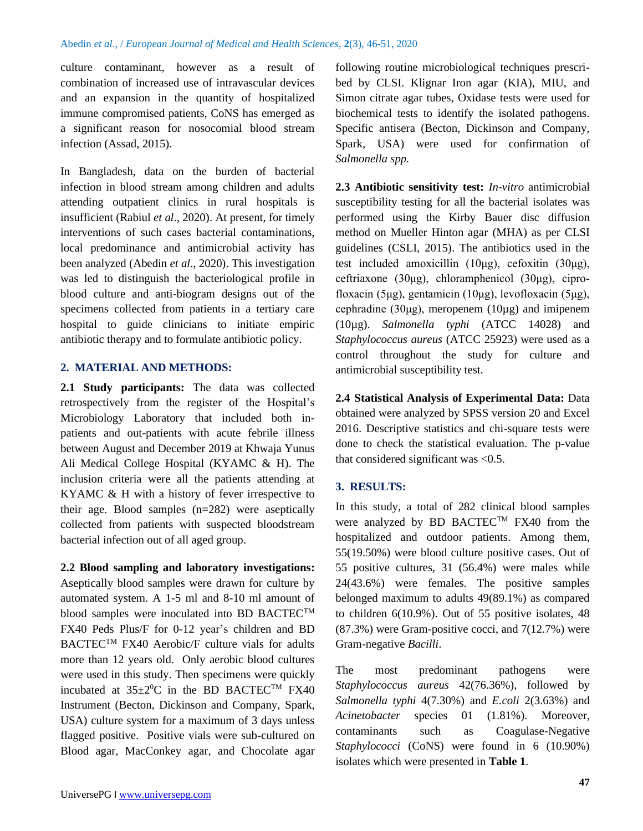culture contaminant, however as a result of combination of increased use of intravascular devices and an expansion in the quantity of hospitalized immune compromised patients, CoNS has emerged as a significant reason for nosocomial blood stream infection (Assad, 2015).

In Bangladesh, data on the burden of bacterial infection in blood stream among children and adults attending outpatient clinics in rural hospitals is insufficient (Rabiul *et al*., 2020). At present, for timely interventions of such cases bacterial contaminations, local predominance and antimicrobial activity has been analyzed (Abedin *et al*., 2020). This investigation was led to distinguish the bacteriological profile in blood culture and anti-biogram designs out of the specimens collected from patients in a tertiary care hospital to guide clinicians to initiate empiric antibiotic therapy and to formulate antibiotic policy.

#### **2. MATERIAL AND METHODS:**

2.1 **Study participants:** The data was collected retrospectively from the register of the Hospital's Microbiology Laboratory that included both inpatients and out-patients with acute febrile illness between August and December 2019 at Khwaja Yunus Ali Medical College Hospital (KYAMC & H). The inclusion criteria were all the patients attending at KYAMC & H with a history of fever irrespective to their age. Blood samples (n=282) were aseptically collected from patients with suspected bloodstream bacterial infection out of all aged group.

**2.2 Blood sampling and laboratory investigations:** Aseptically blood samples were drawn for culture by automated system. A 1-5 ml and 8-10 ml amount of blood samples were inoculated into BD BACTEC<sup>TM</sup> FX40 Peds Plus/F for 0-12 year's children and BD BACTEC<sup>TM</sup> FX40 Aerobic/F culture vials for adults more than 12 years old. Only aerobic blood cultures were used in this study. Then specimens were quickly incubated at  $35\pm2\degree$ C in the BD BACTEC<sup>TM</sup> FX40 Instrument (Becton, Dickinson and Company, Spark, USA) culture system for a maximum of 3 days unless flagged positive. Positive vials were sub-cultured on Blood agar, MacConkey agar, and Chocolate agar

following routine microbiological techniques prescribed by CLSI. Klignar Iron agar (KIA), MIU, and Simon citrate agar tubes, Oxidase tests were used for biochemical tests to identify the isolated pathogens. Specific antisera (Becton, Dickinson and Company, Spark, USA) were used for confirmation of *Salmonella spp.*

**2.3 Antibiotic sensitivity test:** *In-vitro* antimicrobial susceptibility testing for all the bacterial isolates was performed using the Kirby Bauer disc diffusion method on Mueller Hinton agar (MHA) as per CLSI guidelines (CSLI, 2015). The antibiotics used in the test included amoxicillin (10μg), cefoxitin (30μg), ceftriaxone (30μg), chloramphenicol (30μg), ciprofloxacin (5μg), gentamicin (10μg), levofloxacin (5μg), cephradine (30 $\mu$ g), meropenem (10 $\mu$ g) and imipenem (10µg). *Salmonella typhi* (ATCC 14028) and *Staphylococcus aureus* (ATCC 25923) were used as a control throughout the study for culture and antimicrobial susceptibility test.

**2.4 Statistical Analysis of Experimental Data:** Data obtained were analyzed by SPSS version 20 and Excel 2016. Descriptive statistics and chi-square tests were done to check the statistical evaluation. The p-value that considered significant was  $< 0.5$ .

## **3. RESULTS:**

In this study, a total of 282 clinical blood samples were analyzed by BD BACTEC<sup>™</sup> FX40 from the hospitalized and outdoor patients. Among them, 55(19.50%) were blood culture positive cases. Out of 55 positive cultures, 31 (56.4%) were males while 24(43.6%) were females. The positive samples belonged maximum to adults 49(89.1%) as compared to children 6(10.9%). Out of 55 positive isolates, 48 (87.3%) were Gram-positive cocci, and 7(12.7%) were Gram-negative *Bacilli*.

The most predominant pathogens were *Staphylococcus aureus* 42(76.36%), followed by *Salmonella typhi* 4(7.30%) and *E.coli* 2(3.63%) and *Acinetobacter* species 01 (1.81%). Moreover, contaminants such as Coagulase-Negative *Staphylococci* (CoNS) were found in 6 (10.90%) isolates which were presented in **Table 1**.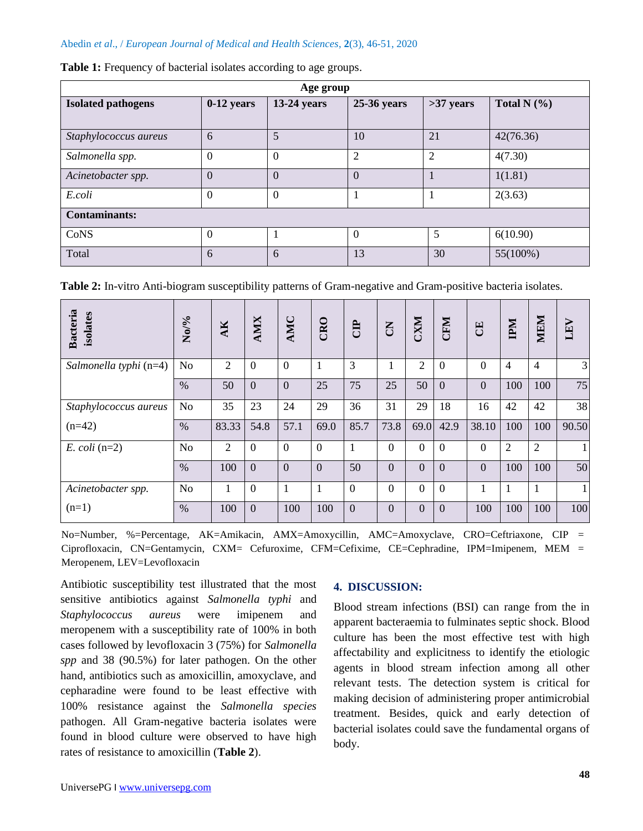#### Abedin *et al*., / *European Journal of Medical and Health Sciences*, **2**(3), 46-51, 2020

| Age group                 |                |               |                |                |                 |  |  |  |  |
|---------------------------|----------------|---------------|----------------|----------------|-----------------|--|--|--|--|
| <b>Isolated pathogens</b> | $0-12$ years   | $13-24$ years | 25-36 years    | $>37$ years    | Total N $(\% )$ |  |  |  |  |
| Staphylococcus aureus     | 6              | 5             | 10             | 21             | 42(76.36)       |  |  |  |  |
| Salmonella spp.           | $\theta$       | $\theta$      | $\overline{2}$ | $\overline{2}$ | 4(7.30)         |  |  |  |  |
| Acinetobacter spp.        | $\theta$       | $\Omega$      | $\Omega$       |                | 1(1.81)         |  |  |  |  |
| E.coli                    | $\theta$       | $\theta$      |                |                | 2(3.63)         |  |  |  |  |
| <b>Contaminants:</b>      |                |               |                |                |                 |  |  |  |  |
| CoNS                      | $\overline{0}$ |               | $\Omega$       | 5              | 6(10.90)        |  |  |  |  |
| Total                     | 6              | 6             | 13             | 30             | 55(100%)        |  |  |  |  |

|  | Table 1: Frequency of bacterial isolates according to age groups. |
|--|-------------------------------------------------------------------|
|--|-------------------------------------------------------------------|

**Table 2:** In-vitro Anti-biogram susceptibility patterns of Gram-negative and Gram-positive bacteria isolates.

| Bacteria<br>isolates   | No/%           | AK             | <b>AMIX</b>      | AMC            | CRO            | <b>ED</b> | $\overline{5}$ | <b>CXM</b>       | <b>CFM</b>     | E              | INH            | MEM            | LEV          |
|------------------------|----------------|----------------|------------------|----------------|----------------|-----------|----------------|------------------|----------------|----------------|----------------|----------------|--------------|
| Salmonella typhi (n=4) | N <sub>o</sub> | $\overline{2}$ | $\Omega$         | $\overline{0}$ | $\overline{1}$ | 3         | 1              | 2                | $\theta$       | $\overline{0}$ | $\overline{4}$ | $\overline{4}$ | 3            |
|                        | $\%$           | 50             | $\boldsymbol{0}$ | $\mathbf{0}$   | 25             | 75        | 25             | 50               | $\mathbf{0}$   | $\mathbf{0}$   | 100            | 100            | 75           |
| Staphylococcus aureus  | N <sub>o</sub> | 35             | 23               | 24             | 29             | 36        | 31             | 29               | 18             | 16             | 42             | 42             | 38           |
| $(n=42)$               | $\%$           | 83.33          | 54.8             | 57.1           | 69.0           | 85.7      | 73.8           | 69.0             | 42.9           | 38.10          | 100            | 100            | 90.50        |
| $E.$ coli (n=2)        | N <sub>o</sub> | $\overline{2}$ | $\theta$         | $\overline{0}$ | $\Omega$       | 1         | $\theta$       | $\overline{0}$   | $\overline{0}$ | $\theta$       | $\overline{2}$ | $\overline{2}$ | $\mathbf{1}$ |
|                        | $\%$           | 100            | $\overline{0}$   | $\overline{0}$ | $\overline{0}$ | 50        | $\overline{0}$ | $\overline{0}$   | $\mathbf{0}$   | $\overline{0}$ | 100            | 100            | 50           |
| Acinetobacter spp.     | N <sub>o</sub> | 1              | $\overline{0}$   | 1              | $\mathbf{1}$   | $\theta$  | $\overline{0}$ | $\overline{0}$   | $\mathbf{0}$   | 1              | 1              | 1              | $\mathbf{1}$ |
| $(n=1)$                | $\%$           | 100            | $\Omega$         | 100            | 100            | $\Omega$  | $\Omega$       | $\boldsymbol{0}$ | $\mathbf{0}$   | 100            | 100            | 100            | 100          |

No=Number, %=Percentage, AK=Amikacin, AMX=Amoxycillin, AMC=Amoxyclave, CRO=Ceftriaxone, CIP = Ciprofloxacin, CN=Gentamycin, CXM= Cefuroxime, CFM=Cefixime, CE=Cephradine, IPM=Imipenem, MEM = Meropenem, LEV=Levofloxacin

Antibiotic susceptibility test illustrated that the most sensitive antibiotics against *Salmonella typhi* and *Staphylococcus aureus* were imipenem and meropenem with a susceptibility rate of 100% in both cases followed by levofloxacin 3 (75%) for *Salmonella spp* and 38 (90.5%) for later pathogen. On the other hand, antibiotics such as amoxicillin, amoxyclave, and cepharadine were found to be least effective with 100% resistance against the *Salmonella species*  pathogen. All Gram-negative bacteria isolates were found in blood culture were observed to have high rates of resistance to amoxicillin (**Table 2**).

#### **4. DISCUSSION:**

Blood stream infections (BSI) can range from the in apparent bacteraemia to fulminates septic shock. Blood culture has been the most effective test with high affectability and explicitness to identify the etiologic agents in blood stream infection among all other relevant tests. The detection system is critical for making decision of administering proper antimicrobial treatment. Besides, quick and early detection of bacterial isolates could save the fundamental organs of body.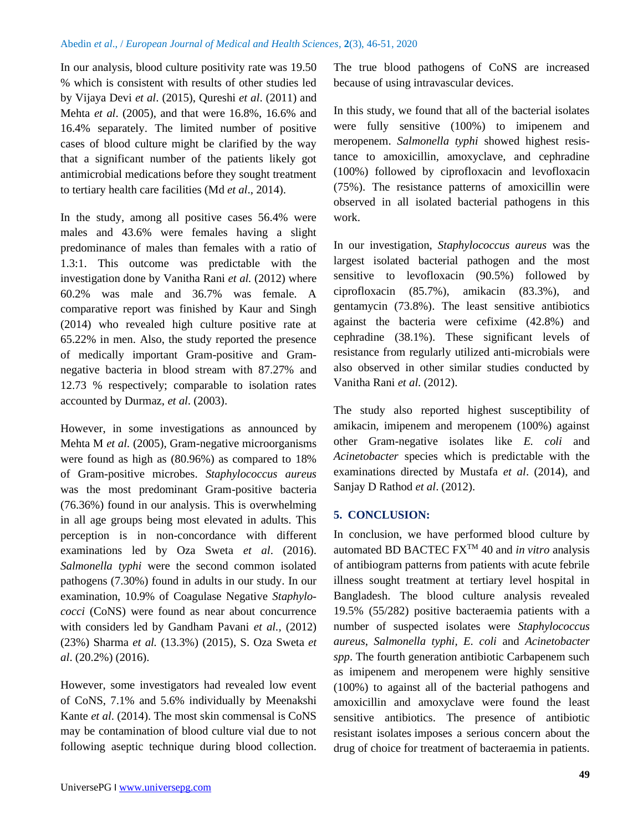In our analysis, blood culture positivity rate was 19.50 % which is consistent with results of other studies led by Vijaya Devi *et al*. (2015), Qureshi *et al*. (2011) and Mehta *et al*. (2005), and that were 16.8%, 16.6% and 16.4% separately. The limited number of positive cases of blood culture might be clarified by the way that a significant number of the patients likely got antimicrobial medications before they sought treatment to tertiary health care facilities (Md *et al*., 2014).

In the study, among all positive cases 56.4% were males and 43.6% were females having a slight predominance of males than females with a ratio of 1.3:1. This outcome was predictable with the investigation done by Vanitha Rani *et al.* (2012) where 60.2% was male and 36.7% was female. A comparative report was finished by Kaur and Singh (2014) who revealed high culture positive rate at 65.22% in men. Also, the study reported the presence of medically important Gram-positive and Gramnegative bacteria in blood stream with 87.27% and 12.73 % respectively; comparable to isolation rates accounted by Durmaz, *et al*. (2003).

However, in some investigations as announced by Mehta M *et al.* (2005), Gram-negative microorganisms were found as high as (80.96%) as compared to 18% of Gram-positive microbes. *Staphylococcus aureus* was the most predominant Gram-positive bacteria (76.36%) found in our analysis. This is overwhelming in all age groups being most elevated in adults. This perception is in non-concordance with different examinations led by Oza Sweta *et al*. (2016). *Salmonella typhi* were the second common isolated pathogens (7.30%) found in adults in our study. In our examination, 10.9% of Coagulase Negative *Staphylococci* (CoNS) were found as near about concurrence with considers led by Gandham Pavani *et al.,* (2012) (23%) Sharma *et al.* (13.3%) (2015), S. Oza Sweta *et al*. (20.2%) (2016).

However, some investigators had revealed low event of CoNS, 7.1% and 5.6% individually by Meenakshi Kante *et al*. (2014). The most skin commensal is CoNS may be contamination of blood culture vial due to not following aseptic technique during blood collection. The true blood pathogens of CoNS are increased because of using intravascular devices.

In this study, we found that all of the bacterial isolates were fully sensitive (100%) to imipenem and meropenem. *Salmonella typhi* showed highest resistance to amoxicillin, amoxyclave, and cephradine (100%) followed by ciprofloxacin and levofloxacin (75%). The resistance patterns of amoxicillin were observed in all isolated bacterial pathogens in this work.

In our investigation, *Staphylococcus aureus* was the largest isolated bacterial pathogen and the most sensitive to levofloxacin (90.5%) followed by ciprofloxacin (85.7%), amikacin (83.3%), and gentamycin (73.8%). The least sensitive antibiotics against the bacteria were cefixime (42.8%) and cephradine (38.1%). These significant levels of resistance from regularly utilized anti-microbials were also observed in other similar studies conducted by Vanitha Rani *et al*. (2012).

The study also reported highest susceptibility of amikacin, imipenem and meropenem (100%) against other Gram-negative isolates like *E. coli* and *Acinetobacter* species which is predictable with the examinations directed by Mustafa *et al*. (2014), and Sanjay D Rathod *et al*. (2012).

#### **5. CONCLUSION:**

In conclusion, we have performed blood culture by automated BD BACTEC FXTM 40 and *in vitro* analysis of antibiogram patterns from patients with acute febrile illness sought treatment at tertiary level hospital in Bangladesh. The blood culture analysis revealed 19.5% (55/282) positive bacteraemia patients with a number of suspected isolates were *Staphylococcus aureus*, *Salmonella typhi, E. coli* and *Acinetobacter spp*. The fourth generation antibiotic Carbapenem such as imipenem and meropenem were highly sensitive (100%) to against all of the bacterial pathogens and amoxicillin and amoxyclave were found the least sensitive antibiotics. The presence of antibiotic resistant isolates imposes a serious concern about the drug of choice for treatment of bacteraemia in patients.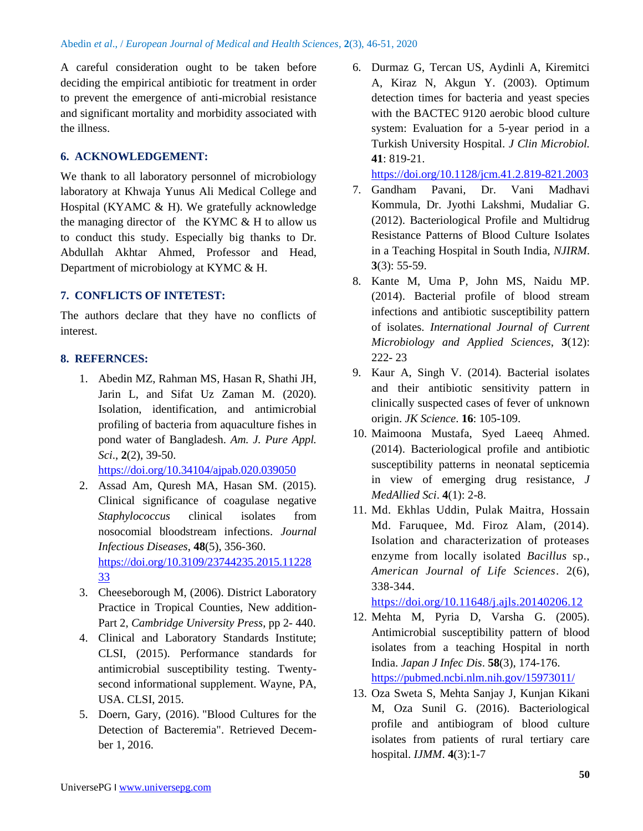A careful consideration ought to be taken before deciding the empirical antibiotic for treatment in order to prevent the emergence of anti-microbial resistance and significant mortality and morbidity associated with the illness.

### **6. ACKNOWLEDGEMENT:**

We thank to all laboratory personnel of microbiology laboratory at Khwaja Yunus Ali Medical College and Hospital (KYAMC & H). We gratefully acknowledge the managing director of the KYMC  $&$  H to allow us to conduct this study. Especially big thanks to Dr. Abdullah Akhtar Ahmed, Professor and Head, Department of microbiology at KYMC & H.

### **7. CONFLICTS OF INTETEST:**

The authors declare that they have no conflicts of interest.

## **8. REFERNCES:**

1. Abedin MZ, Rahman MS, Hasan R, Shathi JH, Jarin L, and Sifat Uz Zaman M. (2020). Isolation, identification, and antimicrobial profiling of bacteria from aquaculture fishes in pond water of Bangladesh. *Am. J. Pure Appl. Sci*., **2**(2), 39-50.

<https://doi.org/10.34104/ajpab.020.039050>

- 2. Assad Am, Quresh MA, Hasan SM. (2015). Clinical significance of coagulase negative *Staphylococcus* clinical isolates from nosocomial bloodstream infections. *Journal Infectious Diseases*, **48**(5), 356-360. [https://doi.org/10.3109/23744235.2015.11228](https://doi.org/10.3109/23744235.2015.1122833) [33](https://doi.org/10.3109/23744235.2015.1122833)
- 3. Cheeseborough M, (2006). District Laboratory Practice in Tropical Counties, New addition-Part 2, *Cambridge University Press*, pp 2- 440.
- 4. Clinical and Laboratory Standards Institute; CLSI, (2015). Performance standards for antimicrobial susceptibility testing. Twentysecond informational supplement. Wayne, PA, USA. CLSI, 2015.
- 5. Doern, Gary, (2016). ["Blood Cultures for the](https://www.uptodate.com/contents/blood-cultures-for-the-detection-of-bacteremia?source=search_result&search=bacteremia&selectedTitle=3~150)  [Detection of Bacteremia".](https://www.uptodate.com/contents/blood-cultures-for-the-detection-of-bacteremia?source=search_result&search=bacteremia&selectedTitle=3~150) Retrieved December 1, 2016.

6. Durmaz G, Tercan US, Aydinli A, Kiremitci A, Kiraz N, Akgun Y. (2003). Optimum detection times for bacteria and yeast species with the BACTEC 9120 aerobic blood culture system: Evaluation for a 5-year period in a Turkish University Hospital. *J Clin Microbiol.* **41**: 819-21.

<https://doi.org/10.1128/jcm.41.2.819-821.2003>

- 7. Gandham Pavani, Dr. Vani Madhavi Kommula, Dr. Jyothi Lakshmi, Mudaliar G. (2012). Bacteriological Profile and Multidrug Resistance Patterns of Blood Culture Isolates in a Teaching Hospital in South India, *NJIRM*. **3**(3): 55-59.
- 8. Kante M, Uma P, John MS, Naidu MP. (2014). Bacterial profile of blood stream infections and antibiotic susceptibility pattern of isolates. *International Journal of Current Microbiology and Applied Sciences*, **3**(12): 222- 23
- 9. Kaur A, Singh V. (2014). Bacterial isolates and their antibiotic sensitivity pattern in clinically suspected cases of fever of unknown origin. *JK Science*. **16**: 105-109.
- 10. Maimoona Mustafa, Syed Laeeq Ahmed. (2014). Bacteriological profile and antibiotic susceptibility patterns in neonatal septicemia in view of emerging drug resistance, *J MedAllied Sci*. **4**(1): 2-8.
- 11. Md. Ekhlas Uddin, Pulak Maitra, Hossain Md. Faruquee, Md. Firoz Alam, (2014). Isolation and characterization of proteases enzyme from locally isolated *Bacillus* sp., *American Journal of Life Sciences*. 2(6), 338-344.

<https://doi.org/10.11648/j.ajls.20140206.12>

- 12. Mehta M, Pyria D, Varsha G. (2005). Antimicrobial susceptibility pattern of blood isolates from a teaching Hospital in north India. *Japan J Infec Dis*. **58**(3), 174-176. <https://pubmed.ncbi.nlm.nih.gov/15973011/>
- 13. Oza Sweta S, Mehta Sanjay J, Kunjan Kikani M, Oza Sunil G. (2016). Bacteriological profile and antibiogram of blood culture isolates from patients of rural tertiary care hospital. *IJMM*. **4**(3):1-7